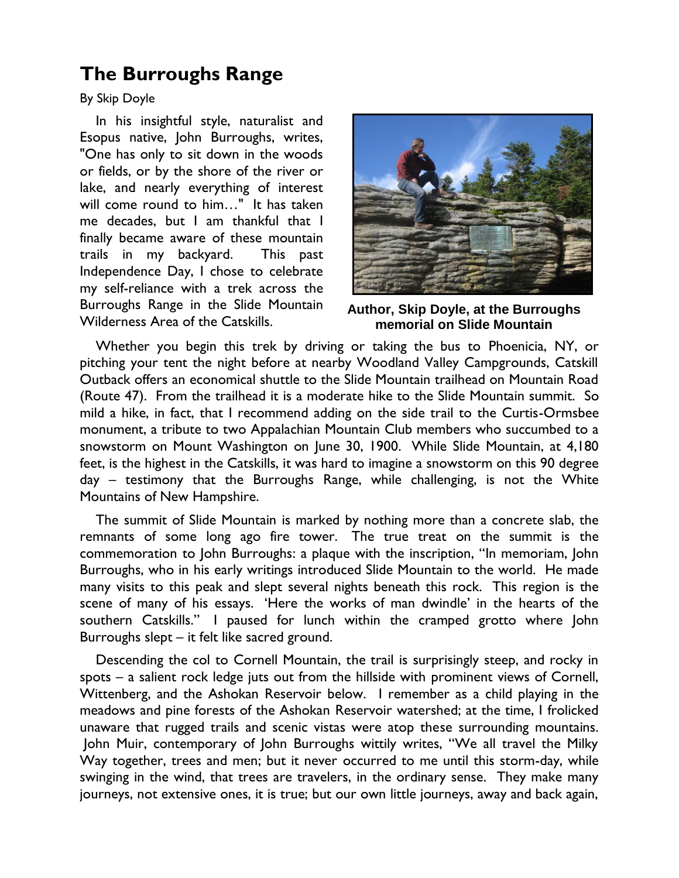## **The Burroughs Range**

By Skip Doyle

In his insightful style, naturalist and Esopus native, John Burroughs, writes, "One has only to sit down in the woods or fields, or by the shore of the river or lake, and nearly everything of interest will come round to him…" It has taken me decades, but I am thankful that I finally became aware of these mountain trails in my backyard. This past Independence Day, I chose to celebrate my self-reliance with a trek across the Burroughs Range in the Slide Mountain Wilderness Area of the Catskills.



**Author, Skip Doyle, at the Burroughs memorial on Slide Mountain**

Whether you begin this trek by driving or taking the bus to Phoenicia, NY, or pitching your tent the night before at nearby Woodland Valley Campgrounds, Catskill Outback offers an economical shuttle to the Slide Mountain trailhead on Mountain Road (Route 47). From the trailhead it is a moderate hike to the Slide Mountain summit. So mild a hike, in fact, that I recommend adding on the side trail to the Curtis-Ormsbee monument, a tribute to two Appalachian Mountain Club members who succumbed to a snowstorm on Mount Washington on June 30, 1900. While Slide Mountain, at 4,180 feet, is the highest in the Catskills, it was hard to imagine a snowstorm on this 90 degree day – testimony that the Burroughs Range, while challenging, is not the White Mountains of New Hampshire.

The summit of Slide Mountain is marked by nothing more than a concrete slab, the remnants of some long ago fire tower. The true treat on the summit is the commemoration to John Burroughs: a plaque with the inscription, "In memoriam, John Burroughs, who in his early writings introduced Slide Mountain to the world. He made many visits to this peak and slept several nights beneath this rock. This region is the scene of many of his essays. "Here the works of man dwindle" in the hearts of the southern Catskills." I paused for lunch within the cramped grotto where John Burroughs slept – it felt like sacred ground.

Descending the col to Cornell Mountain, the trail is surprisingly steep, and rocky in spots – a salient rock ledge juts out from the hillside with prominent views of Cornell, Wittenberg, and the Ashokan Reservoir below. I remember as a child playing in the meadows and pine forests of the Ashokan Reservoir watershed; at the time, I frolicked unaware that rugged trails and scenic vistas were atop these surrounding mountains. John Muir, contemporary of John Burroughs wittily writes, "We all travel the Milky Way together, trees and men; but it never occurred to me until this storm-day, while swinging in the wind, that trees are travelers, in the ordinary sense. They make many journeys, not extensive ones, it is true; but our own little journeys, away and back again,